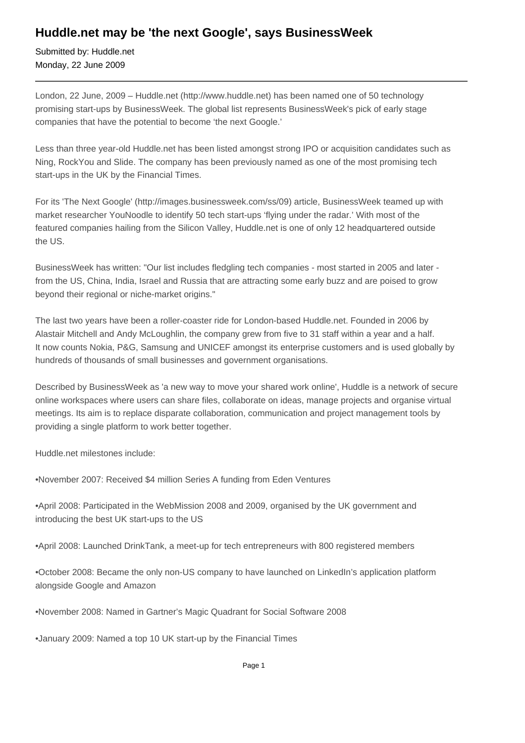## **Huddle.net may be 'the next Google', says BusinessWeek**

Submitted by: Huddle.net Monday, 22 June 2009

London, 22 June, 2009 – Huddle.net (http://www.huddle.net) has been named one of 50 technology promising start-ups by BusinessWeek. The global list represents BusinessWeek's pick of early stage companies that have the potential to become 'the next Google.'

Less than three year-old Huddle.net has been listed amongst strong IPO or acquisition candidates such as Ning, RockYou and Slide. The company has been previously named as one of the most promising tech start-ups in the UK by the Financial Times.

For its 'The Next Google' (http://images.businessweek.com/ss/09) article, BusinessWeek teamed up with market researcher YouNoodle to identify 50 tech start-ups 'flying under the radar.' With most of the featured companies hailing from the Silicon Valley, Huddle.net is one of only 12 headquartered outside the US.

BusinessWeek has written: "Our list includes fledgling tech companies - most started in 2005 and later from the US, China, India, Israel and Russia that are attracting some early buzz and are poised to grow beyond their regional or niche-market origins."

The last two years have been a roller-coaster ride for London-based Huddle.net. Founded in 2006 by Alastair Mitchell and Andy McLoughlin, the company grew from five to 31 staff within a year and a half. It now counts Nokia, P&G, Samsung and UNICEF amongst its enterprise customers and is used globally by hundreds of thousands of small businesses and government organisations.

Described by BusinessWeek as 'a new way to move your shared work online', Huddle is a network of secure online workspaces where users can share files, collaborate on ideas, manage projects and organise virtual meetings. Its aim is to replace disparate collaboration, communication and project management tools by providing a single platform to work better together.

Huddle.net milestones include:

• November 2007: Received \$4 million Series A funding from Eden Ventures

• April 2008: Participated in the WebMission 2008 and 2009, organised by the UK government and introducing the best UK start-ups to the US

• April 2008: Launched DrinkTank, a meet-up for tech entrepreneurs with 800 registered members

• October 2008: Became the only non-US company to have launched on LinkedIn's application platform alongside Google and Amazon

• November 2008: Named in Gartner's Magic Quadrant for Social Software 2008

• January 2009: Named a top 10 UK start-up by the Financial Times